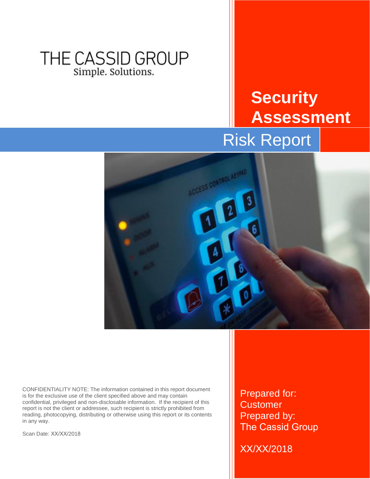# THE CASSID GROUP Simple. Solutions.

# **Security Assessment** Risk Report



CONFIDENTIALITY NOTE: The information contained in this report document is for the exclusive use of the client specified above and may contain confidential, privileged and non-disclosable information. If the recipient of this report is not the client or addressee, such recipient is strictly prohibited from reading, photocopying, distributing or otherwise using this report or its contents in any way.

Scan Date: XX/XX/2018

Prepared for: **Customer** Prepared by: The Cassid Group

XX/XX/2018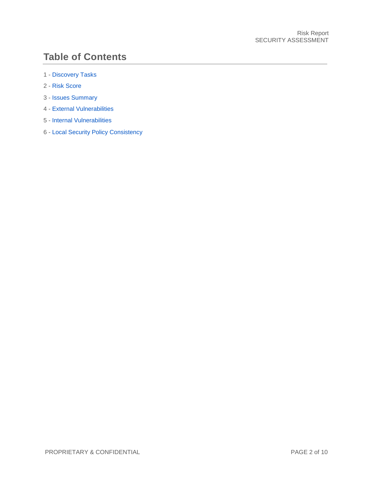# **Table of Contents**

- 1 [Discovery Tasks](#page-2-0)
- 2 [Risk Score](#page-3-0)
- 3 [Issues Summary](#page-4-0)
- 4 [External Vulnerabilities](#page-6-0)
- 5 [Internal Vulnerabilities](#page-8-0)
- 6 [Local Security Policy Consistency](#page-8-1)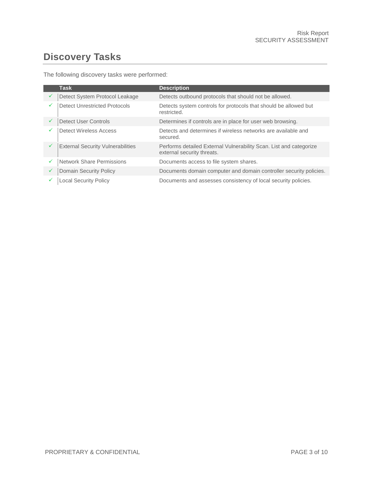# <span id="page-2-0"></span>**Discovery Tasks**

The following discovery tasks were performed:

|   | <b>Task</b>                              | <b>Description</b>                                                                               |
|---|------------------------------------------|--------------------------------------------------------------------------------------------------|
| ✓ | Detect System Protocol Leakage           | Detects outbound protocols that should not be allowed.                                           |
| ✓ | <b>Detect Unrestricted Protocols</b>     | Detects system controls for protocols that should be allowed but<br>restricted.                  |
| ✓ | Detect User Controls                     | Determines if controls are in place for user web browsing.                                       |
| ✓ | Detect Wireless Access                   | Detects and determines if wireless networks are available and<br>secured.                        |
| ✓ | <b>External Security Vulnerabilities</b> | Performs detailed External Vulnerability Scan. List and categorize<br>external security threats. |
| ✓ | <b>Network Share Permissions</b>         | Documents access to file system shares.                                                          |
| ✓ | Domain Security Policy                   | Documents domain computer and domain controller security policies.                               |
|   | <b>Local Security Policy</b>             | Documents and assesses consistency of local security policies.                                   |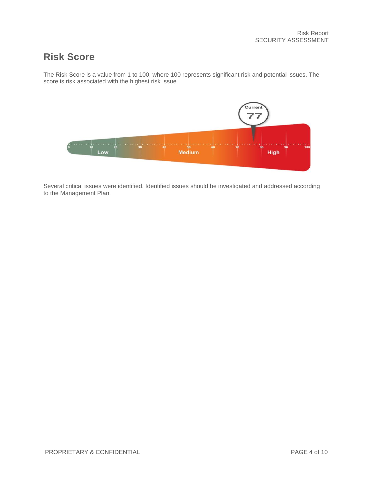### <span id="page-3-0"></span>**Risk Score**

The Risk Score is a value from 1 to 100, where 100 represents significant risk and potential issues. The score is risk associated with the highest risk issue.



Several critical issues were identified. Identified issues should be investigated and addressed according to the Management Plan.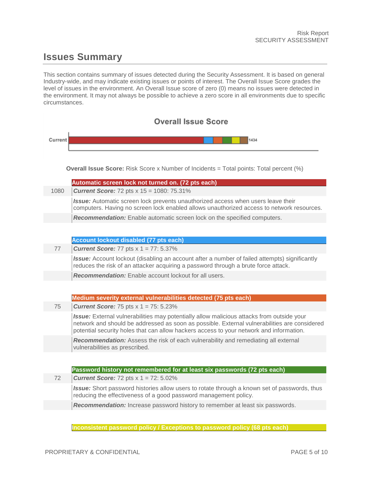# <span id="page-4-0"></span>**Issues Summary**

This section contains summary of issues detected during the Security Assessment. It is based on general Industry-wide, and may indicate existing issues or points of interest. The Overall Issue Score grades the level of issues in the environment. An Overall Issue score of zero (0) means no issues were detected in the environment. It may not always be possible to achieve a zero score in all environments due to specific circumstances.

| <b>Overall Issue Score</b> |                                                                                                                                                                                                                                                                                      |  |  |  |  |  |  |  |
|----------------------------|--------------------------------------------------------------------------------------------------------------------------------------------------------------------------------------------------------------------------------------------------------------------------------------|--|--|--|--|--|--|--|
| Current                    | 1434                                                                                                                                                                                                                                                                                 |  |  |  |  |  |  |  |
|                            |                                                                                                                                                                                                                                                                                      |  |  |  |  |  |  |  |
|                            | <b>Overall Issue Score:</b> Risk Score x Number of Incidents = Total points: Total percent $(\%)$                                                                                                                                                                                    |  |  |  |  |  |  |  |
| 1080                       | Automatic screen lock not turned on. (72 pts each)                                                                                                                                                                                                                                   |  |  |  |  |  |  |  |
|                            | <b>Current Score: 72 pts x 15 = 1080: 75.31%</b><br><b>Issue:</b> Automatic screen lock prevents unauthorized access when users leave their                                                                                                                                          |  |  |  |  |  |  |  |
|                            | computers. Having no screen lock enabled allows unauthorized access to network resources.                                                                                                                                                                                            |  |  |  |  |  |  |  |
|                            | Recommendation: Enable automatic screen lock on the specified computers.                                                                                                                                                                                                             |  |  |  |  |  |  |  |
|                            |                                                                                                                                                                                                                                                                                      |  |  |  |  |  |  |  |
|                            | <b>Account lockout disabled (77 pts each)</b>                                                                                                                                                                                                                                        |  |  |  |  |  |  |  |
| 77                         | <b>Current Score:</b> 77 pts $x$ 1 = 77: 5.37%                                                                                                                                                                                                                                       |  |  |  |  |  |  |  |
|                            | <b>Issue:</b> Account lockout (disabling an account after a number of failed attempts) significantly<br>reduces the risk of an attacker acquiring a password through a brute force attack.                                                                                           |  |  |  |  |  |  |  |
|                            | <b>Recommendation:</b> Enable account lockout for all users.                                                                                                                                                                                                                         |  |  |  |  |  |  |  |
|                            |                                                                                                                                                                                                                                                                                      |  |  |  |  |  |  |  |
|                            | Medium severity external vulnerabilities detected (75 pts each)                                                                                                                                                                                                                      |  |  |  |  |  |  |  |
| 75                         | <b>Current Score:</b> 75 pts $x$ 1 = 75: 5.23%                                                                                                                                                                                                                                       |  |  |  |  |  |  |  |
|                            | Issue: External vulnerabilities may potentially allow malicious attacks from outside your<br>network and should be addressed as soon as possible. External vulnerabilities are considered<br>potential security holes that can allow hackers access to your network and information. |  |  |  |  |  |  |  |
|                            | Recommendation: Assess the risk of each vulnerability and remediating all external<br>vulnerabilities as prescribed.                                                                                                                                                                 |  |  |  |  |  |  |  |
|                            |                                                                                                                                                                                                                                                                                      |  |  |  |  |  |  |  |
|                            | Password history not remembered for at least six passwords (72 pts each)                                                                                                                                                                                                             |  |  |  |  |  |  |  |
| 72                         | <b>Current Score:</b> 72 pts $x$ 1 = 72: 5.02%                                                                                                                                                                                                                                       |  |  |  |  |  |  |  |
|                            | Issue: Short password histories allow users to rotate through a known set of passwords, thus<br>reducing the effectiveness of a good password management policy.                                                                                                                     |  |  |  |  |  |  |  |
|                            | Recommendation: Increase password history to remember at least six passwords.                                                                                                                                                                                                        |  |  |  |  |  |  |  |
|                            |                                                                                                                                                                                                                                                                                      |  |  |  |  |  |  |  |

**Inconsistent password policy / Exceptions to password policy (68 pts each)**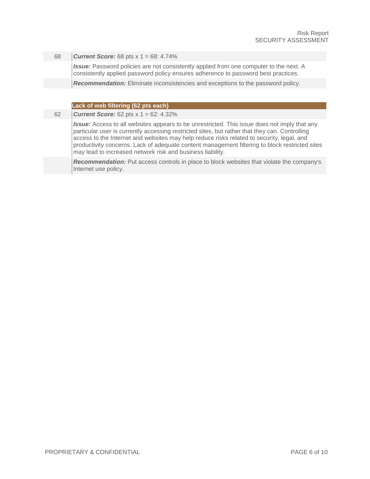#### 68 *Current Score:* 68 pts x 1 = 68: 4.74%

**Issue:** Password policies are not consistently applied from one computer to the next. A consistently applied password policy ensures adherence to password best practices.

*Recommendation:* Eliminate inconsistencies and exceptions to the password policy.

#### **Lack of web filtering (62 pts each)**

62 *Current Score:* 62 pts x 1 = 62: 4.32%

*Issue:* Access to all websites appears to be unrestricted. This issue does not imply that any particular user is currently accessing restricted sites, but rather that they can. Controlling access to the Internet and websites may help reduce risks related to security, legal, and productivity concerns. Lack of adequate content management filtering to block restricted sites may lead to increased network risk and business liability.

*Recommendation:* Put access controls in place to block websites that violate the company's Internet use policy.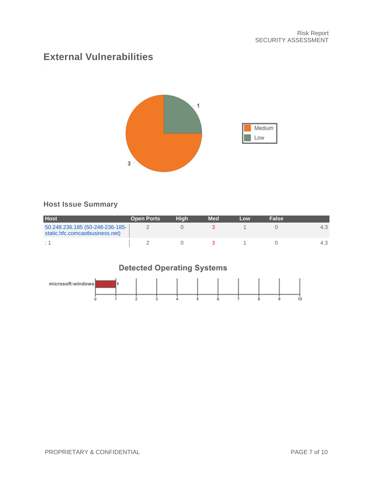### <span id="page-6-0"></span>**External Vulnerabilities**



#### **Host Issue Summary**

| <b>Host</b>                                                        | <b>Open Ports</b> | Hiah | <b>Med</b> | Low | <b>False</b> |  |
|--------------------------------------------------------------------|-------------------|------|------------|-----|--------------|--|
| 50.248.236.185 (50-248-236-185-<br>static.hfc.comcastbusiness.net) |                   |      |            |     |              |  |
| $\cdot$ $\cdot$                                                    |                   |      |            |     |              |  |

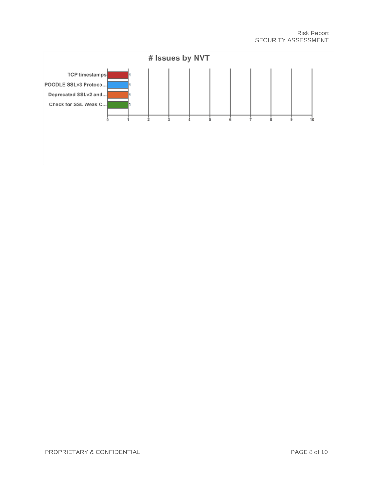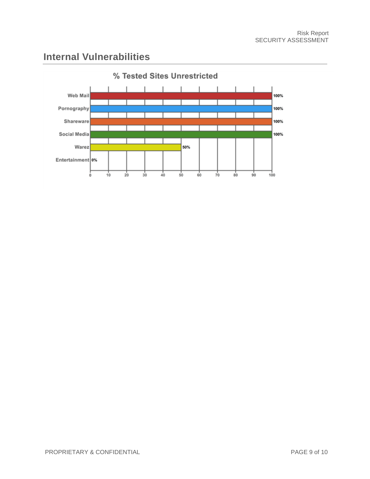### <span id="page-8-0"></span>**Internal Vulnerabilities**

<span id="page-8-1"></span>